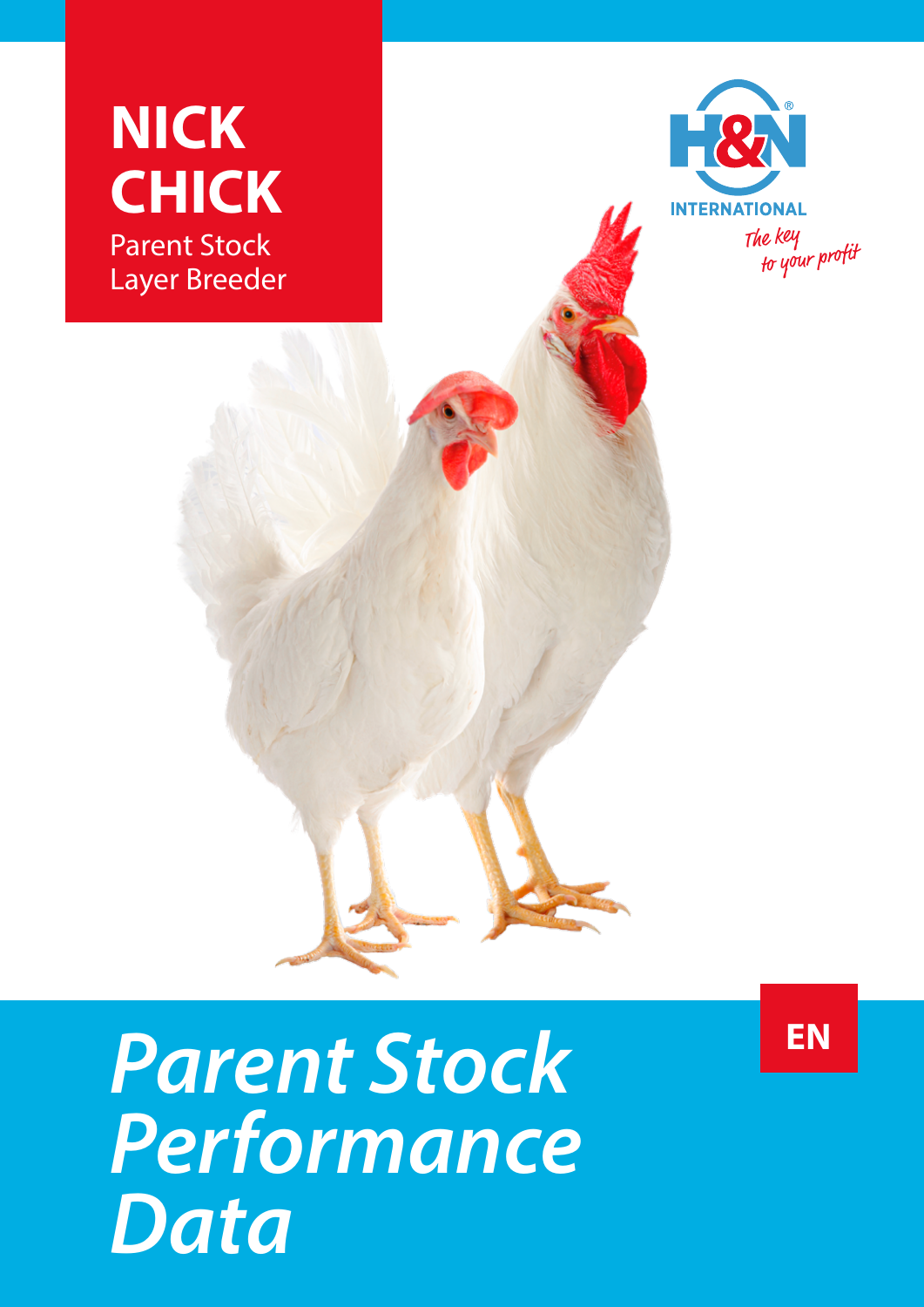



## *Parent Stock Performance Data*

**EN**